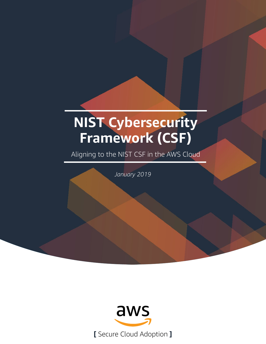# **NIST Cybersecurity Framework (CSF)**

Aligning to the NIST CSF in the AWS Cloud

*January 2019*

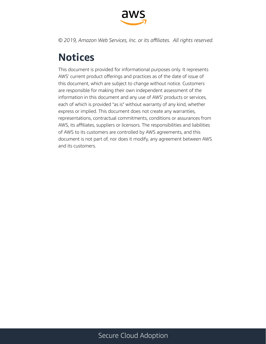

*© 2019, Amazon Web Services, Inc. or its affiliates. All rights reserved.*

# **Notices**

This document is provided for informational purposes only. It represents AWS' current product offerings and practices as of the date of issue of this document, which are subject to change without notice. Customers are responsible for making their own independent assessment of the information in this document and any use of AWS' products or services, each of which is provided "as is" without warranty of any kind, whether express or implied. This document does not create any warranties, representations, contractual commitments, conditions or assurances from AWS, its affiliates, suppliers or licensors. The responsibilities and liabilities of AWS to its customers are controlled by AWS agreements, and this document is not part of, nor does it modify, any agreement between AWS and its customers.

### Secure Cloud Adoption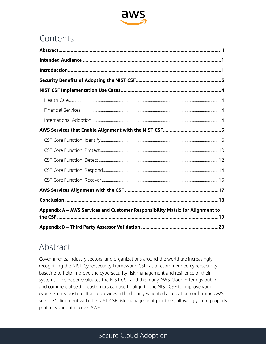

### Contents

| Appendix A - AWS Services and Customer Responsibility Matrix for Alignment to |  |
|-------------------------------------------------------------------------------|--|
|                                                                               |  |

## Abstract

Governments, industry sectors, and organizations around the world are increasingly recognizing the NIST Cybersecurity Framework (CSF) as a recommended cybersecurity baseline to help improve the cybersecurity risk management and resilience of their systems. This paper evaluates the NIST CSF and the many AWS Cloud offerings public and commercial sector customers can use to align to the NIST CSF to improve your cybersecurity posture. It also provides a third-party validated attestation confirming AWS services' alignment with the NIST CSF risk management practices, allowing you to properly protect your data across AWS.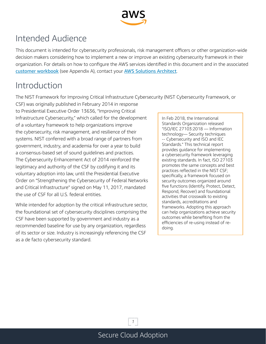

# <span id="page-3-0"></span>Intended Audience

This document is intended for cybersecurity professionals, risk management officers or other organization-wide decision makers considering how to implement a new or improve an existing cybersecurity framework in their organization. For details on how to configure the AWS services identified in this document and in the associated customer workbook (see Appendix A), contact your AWS Solutions Architect.

# Introduction

The NIST Framework for Improving Critical Infrastructure Cybersecurity (NIST Cybersecurity Framework, or

CSF) was originally published in February 2014 in response to Presidential Executive Order 13636, "Improving Critical Infrastructure Cybersecurity," which called for the development of a voluntary framework to help organizations improve the cybersecurity, risk management, and resilience of their systems. NIST conferred with a broad range of partners from government, industry, and academia for over a year to build a consensus-based set of sound guidelines and practices. The Cybersecurity Enhancement Act of 2014 reinforced the legitimacy and authority of the CSF by codifying it and its voluntary adoption into law, until the Presidential Executive Order on "Strengthening the Cybersecurity of Federal Networks and Critical Infrastructure" signed on May 11, 2017, mandated the use of CSF for all U.S. federal entities.

While intended for adoption by the critical infrastructure sector, the foundational set of cybersecurity disciplines comprising the CSF have been supported by government and industry as a recommended baseline for use by any organization, regardless of its sector or size. Industry is increasingly referencing the CSF as a de facto cybersecurity standard.

In Feb 2018, the International Standards Organization released "ISO/IEC 27103:2018 — Information technology— Security techniques -- Cybersecurity and ISO and IEC Standards." This technical report provides guidance for implementing a cybersecurity framework leveraging existing standards. In fact, ISO 27103 promotes the same concepts and best practices reflected in the NIST CSF; specifically, a framework focused on security outcomes organized around five functions (Identify, Protect, Detect, Respond, Recover) and foundational activities that crosswalk to existing standards, accreditations and frameworks. Adopting this approach can help organizations achieve security outcomes while benefiting from the efficiencies of re-using instead of redoing.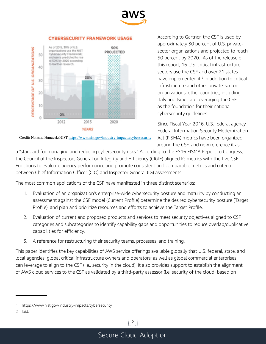

#### **CYBERSECURITY FRAMEWORK USAGE**



Credit: Natasha Hanacek/NIST https://www.nist.gov/industry-impacts/cybersecurity

According to Gartner, the CSF is used by approximately 30 percent of U.S. privatesector organizations and projected to reach 50 percent by 2020.<sup>1</sup> As of the release of this report, 16 U.S. critical infrastructure sectors use the CSF and over 21 states have implemented it.<sup>2</sup> In addition to critical infrastructure and other private-sector organizations, other countries, including Italy and Israel, are leveraging the CSF as the foundation for their national cybersecurity guidelines.

Since Fiscal Year 2016, U.S. federal agency Federal Information Security Modernization Act (FISMA) metrics have been organized around the CSF, and now reference it as

a "standard for managing and reducing cybersecurity risks." According to the FY16 FISMA Report to Congress, the Council of the Inspectors General on Integrity and Efficiency (CIGIE) aligned IG metrics with the five CSF Functions to evaluate agency performance and promote consistent and comparable metrics and criteria between Chief Information Officer (CIO) and Inspector General (IG) assessments.

The most common applications of the CSF have manifested in three distinct scenarios:

- 1. Evaluation of an organization's enterprise-wide cybersecurity posture and maturity by conducting an assessment against the CSF model (Current Profile) determine the desired cybersecurity posture (Target Profile), and plan and prioritize resources and efforts to achieve the Target Profile.
- 2. Evaluation of current and proposed products and services to meet security objectives aligned to CSF categories and subcategories to identify capability gaps and opportunities to reduce overlap/duplicative capabilities for efficiency.
- 3. A reference for restructuring their security teams, processes, and training.

This paper identifies the key capabilities of AWS service offerings available globally that U.S. federal, state, and local agencies; global critical infrastructure owners and operators; as well as global commercial enterprises can leverage to align to the CSF (i.e., security in the cloud). It also provides support to establish the alignment of AWS cloud services to the CSF as validated by a third-party assessor (i.e. security of the cloud) based on

*2*

<sup>1</sup> https://www.nist.gov/industry-impacts/cybersecurity

<sup>2</sup> Ibid.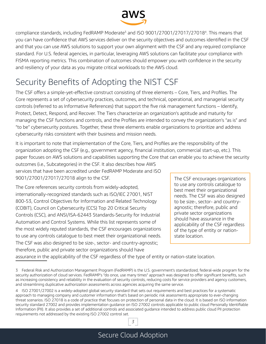

<span id="page-5-0"></span>compliance standards, including FedRAMP Moderate<sup>3</sup> and ISO 9001/27001/27017/27018<sup>4</sup>. This means that you can have confidence that AWS services deliver on the security objectives and outcomes identified in the CSF and that you can use AWS solutions to support your own alignment with the CSF and any required compliance standard. For U.S. federal agencies, in particular, leveraging AWS solutions can facilitate your compliance with FISMA reporting metrics. This combination of outcomes should empower you with confidence in the security and resiliency of your data as you migrate critical workloads to the AWS cloud.

# Security Benefits of Adopting the NIST CSF

The CSF offers a simple-yet-effective construct consisting of three elements – Core, Tiers, and Profiles. The Core represents a set of cybersecurity practices, outcomes, and technical, operational, and managerial security controls (referred to as Informative References) that support the five risk management functions – Identify, Protect, Detect, Respond, and Recover. The Tiers characterize an organization's aptitude and maturity for managing the CSF functions and controls, and the Profiles are intended to convey the organization's "as is" and "to be" cybersecurity postures. Together, these three elements enable organizations to prioritize and address cybersecurity risks consistent with their business and mission needs.

It is important to note that implementation of the Core, Tiers, and Profiles are the responsibility of the organization adopting the CSF (e.g., government agency, financial institution, commercial start-up, etc.). This paper focuses on AWS solutions and capabilities supporting the Core that can enable you to achieve the security

outcomes (i.e., Subcategories) in the CSF. It also describes how AWS services that have been accredited under FedRAMP Moderate and ISO 9001/27001/27017/27018 align to the CSF.

The Core references security controls from widely-adopted, internationally-recognized standards such as ISO/IEC 27001, NIST 800-53, Control Objectives for Information and Related Technology (COBIT), Council on Cybersecurity (CCS) Top 20 Critical Security Controls (CSC), and ANSI/ISA-62443 Standards-Security for Industrial Automation and Control Systems. While this list represents some of the most widely reputed standards, the CSF encourages organizations to use any controls catalogue to best meet their organizational needs. The CSF was also designed to be size-, sector- and country-agnostic; therefore, public and private sector organizations should have

The CSF encourages organizations to use any controls catalogue to best meet their organizational needs. The CSF was also designed to be size-, sector- and countryagnostic; therefore, public and private sector organizations should have assurance in the applicability of the CSF regardless of the type of entity or nationstate location.

assurance in the applicability of the CSF regardless of the type of entity or nation-state location.

<sup>3</sup> Federal Risk and Authorization Management Program (FedRAMP) is the U.S. government's standardized, federal-wide program for the security authorization of cloud services. FedRAMP's "do once, use many times" approach was designed to offer significant benefits, such as increasing consistency and reliability in the evaluation of security controls, reducing costs for service providers and agency customers, and streamlining duplicative authorization assessments across agencies acquiring the same service.

<sup>4</sup> ISO 27001/27002 is a widely-adopted global security standard that sets out requirements and best practices for a systematic approach to managing company and customer information that's based on periodic risk assessments appropriate to ever-changing threat scenarios. ISO 27018 is a code of practice that focuses on protection of personal data in the cloud. It is based on ISO information security standard 27002 and provides implementation guidance on ISO 27002 controls applicable to public cloud Personally Identifiable Information (PII). It also provides a set of additional controls and associated guidance intended to address public cloud PII protection requirements not addressed by the existing ISO 27002 control set.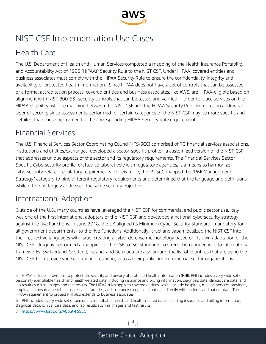

# <span id="page-6-0"></span>NIST CSF Implementation Use Cases

### Health Care

The U.S. Department of Health and Human Services completed a mapping of the Health Insurance Portability and Accountability Act of 1996 (HIPAA)<sup>5</sup> Security Rule to the NIST CSF. Under HIPAA, covered entities and business associates must comply with the HIPAA Security Rule to ensure the confidentiality, integrity and availability of protected health information.<sup>6</sup> Since HIPAA does not have a set of controls that can be assessed or a formal accreditation process, covered entities and business associates, like AWS, are HIPAA-eligible based on alignment with NIST 800-53- security controls that can be tested and verified in order to place services on the HIPAA eligibility list. The mapping between the NIST CSF and the HIPAA Security Rule promotes an additional layer of security since assessments performed for certain categories of the NIST CSF may be more specific and detailed than those performed for the corresponding HIPAA Security Rule requirement.

### Financial Services

The U.S. Financial Services Sector Coordinating Council<sup>7</sup> (FS-SCC) comprised of 70 financial services associations, institutions and utilities/exchanges, developed a sector-specific profile- a customized version of the NIST CSF that addresses unique aspects of the sector and its regulatory requirements. The Financial Services Sector Specific Cybersecurity profile, drafted collaboratively with regulatory agencies, is a means to harmonize cybersecurity-related regulatory requirements. For example, the FS-SCC mapped the "Risk Management Strategy" category to nine different regulatory requirements and determined that the language and definitions, while different, largely addressed the same security objective.

### International Adoption

Outside of the U.S., many countries have leveraged the NIST CSF for commercial and public sector use. Italy was one of the first international adopters of the NIST CSF and developed a national cybersecurity strategy against the five Functions. In June 2018, the UK aligned its Minimum Cyber Security Standard- mandatory for all government departments- to the five Functions. Additionally, Israel and Japan localized the NIST CSF into their respective languages with Israel creating a cyber defense methodology based on its own adaptation of the NIST CSF. Uruguay performed a mapping of the CSF to ISO standards to strengthen connections to international frameworks. Switzerland, Scotland, Ireland, and Bermuda are also among the list of countries that are using the NIST CSF to improve cybersecurity and resiliency across their public and commercial sector organizations.

*4*

<sup>5</sup> HIPAA includes provisions to protect the security and privacy of protected health information (PHI). PHI includes a very wide set of personally identifiable health and health-related data, including insurance and billing information, diagnosis data, clinical care data, and lab results such as images and test results. The HIPAA rules apply to covered entities, which include hospitals, medical services providers, employer sponsored health plans, research facilities, and insurance companies that deal directly with patients and patient data. The HIPAA requirement to protect PHI also extends to business associates.

<sup>6</sup> PHI includes a very wide set of personally identifiable health and health-related data, including insurance and billing information, diagnosis data, clinical care data, and lab results such as images and test results.

<sup>7</sup> https://www.fsscc.org/About-FSSCC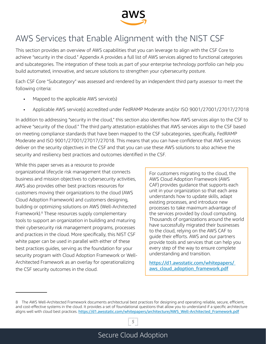

# <span id="page-7-0"></span>AWS Services that Enable Alignment with the NIST CSF

This section provides an overview of AWS capabilities that you can leverage to align with the CSF Core to achieve "security in the cloud." Appendix A provides a full list of AWS services aligned to functional categories and subcategories. The integration of these tools as part of your enterprise technology portfolio can help you build automated, innovative, and secure solutions to strengthen your cybersecurity posture.

Each CSF Core "Subcategory" was assessed and rendered by an independent third party assessor to meet the following criteria:

- Mapped to the applicable AWS service(s)
- Applicable AWS service(s) accredited under FedRAMP Moderate and/or ISO 9001/27001/27017/27018

In addition to addressing "security in the cloud," this section also identifies how AWS services align to the CSF to achieve "security of the cloud." The third party attestation establishes that AWS services align to the CSF based on meeting compliance standards that have been mapped to the CSF subcategories, specifically, FedRAMP Moderate and ISO 9001/27001/27017/27018. This means that you can have confidence that AWS services deliver on the security objectives in the CSF and that you can use these AWS solutions to also achieve the security and resiliency best practices and outcomes identified in the CSF.

While this paper serves as a resource to provide organizational lifecycle risk management that connects business and mission objectives to cybersecurity activities, AWS also provides other best practices resources for customers moving their organizations to the cloud (AWS Cloud Adoption Framework) and customers designing, building or optimizing solutions on AWS (Well-Architected Framework).8 These resources supply complementary tools to support an organization in building and maturing their cybersecurity risk management programs, processes and practices in the cloud. More specifically, this NIST CSF white paper can be used in parallel with either of these best practices guides, serving as the foundation for your security program with Cloud Adoption Framework or Well-Architected Framework as an overlay for operationalizing the CSF security outcomes in the cloud.

For customers migrating to the cloud, the AWS Cloud Adoption Framework (AWS CAF) provides guidance that supports each unit in your organization so that each area understands how to update skills, adapt existing processes, and introduce new processes to take maximum advantage of the services provided by cloud computing. Thousands of organizations around the world have successfully migrated their businesses to the cloud, relying on the AWS CAF to guide their efforts. AWS and our partners provide tools and services that can help you every step of the way to ensure complete understanding and transition.

https://d1.awsstatic.com/whitepapers/ aws\_cloud\_adoption\_framework.pdf

<sup>8</sup> The AWS Well-Architected Framework documents architectural best practices for designing and operating reliable, secure, efficient, and cost-effective systems in the cloud. It provides a set of foundational questions that allow you to understand if a specific architecture aligns well with cloud best practices. https://d1.awsstatic.com/whitepapers/architecture/AWS\_Well-Architected\_Framework.pdf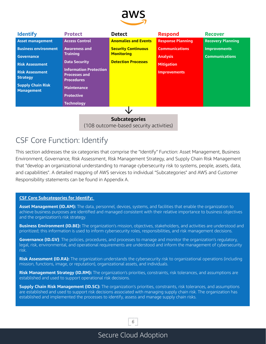

<span id="page-8-0"></span>

| <b>Identify</b>                                                 | <b>Protect</b>                                                             | <b>Detect</b>               | <b>Respond</b>           | <b>Recover</b>           |  |
|-----------------------------------------------------------------|----------------------------------------------------------------------------|-----------------------------|--------------------------|--------------------------|--|
| <b>Asset management</b>                                         | <b>Access Control</b>                                                      | <b>Anomalies and Events</b> | <b>Response Planning</b> | <b>Recovery Planning</b> |  |
| <b>Business environment</b>                                     | <b>Awareness and</b>                                                       | <b>Security Continuous</b>  | <b>Communications</b>    | <b>Improvements</b>      |  |
| <b>Governance</b>                                               | <b>Training</b>                                                            | <b>Monitoring</b>           | <b>Analysis</b>          | <b>Communications</b>    |  |
| <b>Risk Assessment</b>                                          | <b>Data Security</b>                                                       | <b>Detection Processes</b>  | <b>Mitigation</b>        |                          |  |
| <b>Risk Assessment</b><br><b>Strategy</b>                       | <b>Information Protection</b><br><b>Processes and</b><br><b>Procedures</b> |                             | <b>Improvements</b>      |                          |  |
| <b>Supply Chain Risk</b><br><b>Management</b>                   | <b>Maintenance</b>                                                         |                             |                          |                          |  |
|                                                                 | <b>Protective</b>                                                          |                             |                          |                          |  |
|                                                                 | <b>Technology</b>                                                          |                             |                          |                          |  |
|                                                                 |                                                                            |                             |                          |                          |  |
| <b>Subcategories</b><br>(108 outcome-based security activities) |                                                                            |                             |                          |                          |  |

### CSF Core Function: Identify

This section addresses the six categories that comprise the "Identify" Function: Asset Management, Business Environment, Governance, Risk Assessment, Risk Management Strategy, and Supply Chain Risk Management that "develop an organizational understanding to manage cybersecurity risk to systems, people, assets, data, and capabilities". A detailed mapping of AWS services to individual "Subcategories" and AWS and Customer Responsibility statements can be found in Appendix A.

#### **CSF Core Subcategories for Identify:**

**Asset Management (ID.AM):** The data, personnel, devices, systems, and facilities that enable the organization to achieve business purposes are identified and managed consistent with their relative importance to business objectives and the organization's risk strategy.

**Business Environment (ID.BE):** The organization's mission, objectives, stakeholders, and activities are understood and prioritized; this information is used to inform cybersecurity roles, responsibilities, and risk management decisions.

**Governance (ID.GV)**: The policies, procedures, and processes to manage and monitor the organization's regulatory, legal, risk, environmental, and operational requirements are understood and inform the management of cybersecurity risk.

**Risk Assessment (ID.RA):** The organization understands the cybersecurity risk to organizational operations (including mission, functions, image, or reputation), organizational assets, and individuals.

**Risk Management Strategy (ID.RM):** The organization's priorities, constraints, risk tolerances, and assumptions are established and used to support operational risk decisions.

**Supply Chain Risk Management (ID.SC):** The organization's priorities, constraints, risk tolerances, and assumptions are established and used to support risk decisions associated with managing supply chain risk. The organization has established and implemented the processes to identify, assess and manage supply chain risks.

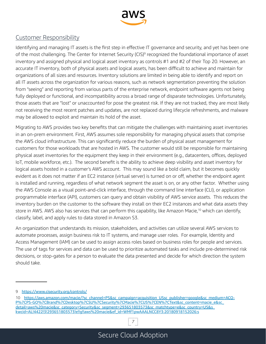

#### Customer Responsibility

Identifying and managing IT assets is the first step in effective IT governance and security, and yet has been one of the most challenging. The Center for Internet Security (CIS)<sup>9</sup> recognized the foundational importance of asset inventory and assigned physical and logical asset inventory as controls #1 and #2 of their Top 20. However, an accurate IT inventory, both of physical assets and logical assets, has been difficult to achieve and maintain for organizations of all sizes and resources. Inventory solutions are limited in being able to identify and report on all IT assets across the organization for various reasons, such as network segmentation preventing the solution from "seeing" and reporting from various parts of the enterprise network, endpoint software agents not being fully deployed or functional, and incompatibility across a broad range of disparate technologies. Unfortunately, those assets that are "lost" or unaccounted for pose the greatest risk. If they are not tracked, they are most likely not receiving the most recent patches and updates, are not replaced during lifecycle refreshments, and malware may be allowed to exploit and maintain its hold of the asset.

Migrating to AWS provides two key benefits that can mitigate the challenges with maintaining asset inventories in an on-prem environment. First, AWS assumes sole responsibility for managing physical assets that comprise the AWS cloud infrastructure. This can significantly reduce the burden of physical asset management for customers for those workloads that are hosted in AWS. The customer would still be responsible for maintaining physical asset inventories for the equipment they keep in their environment (e.g., datacenters, offices, deployed IoT, mobile workforce, etc.). The second benefit is the ability to achieve deep visibility and asset inventory for logical assets hosted in a customer's AWS account. This may sound like a bold claim, but it becomes quickly evident as it does not matter if an EC2 instance (virtual server) is turned on or off, whether the endpoint agent is installed and running, regardless of what network segment the asset is on, or any other factor. Whether using the AWS Console as a visual point-and-click interface, through the command line interface (CLI), or application programmable interface (API), customers can query and obtain visibility of AWS service assets. This reduces the inventory burden on the customer to the software they install on their EC2 instances and what data assets they store in AWS. AWS also has services that can perform this capability, like Amazon Macie,<sup>10</sup> which can identify, classify, label, and apply rules to data stored in Amazon S3.

An organization that understands its mission, stakeholders, and activities can utilize several AWS services to automate processes, assign business risk to IT systems, and manage user roles. For example, Identity and Access Management (IAM) can be used to assign access roles based on business roles for people and services. The use of tags for services and data can be used to prioritize automated tasks and include pre-determined risk decisions, or stop-gates for a person to evaluate the data presented and decide for which direction the system should take.

<sup>10</sup> https://aws.amazon.com/macie/?sc\_channel=PS&sc\_campaign=acquisition\_USsc\_publisher=google&sc\_medium=ACQ-P%7CPS-GO%7CBrand%7CDesktop%7CSU%7CSecurity%7CMacie%7CUS%7CEN%7CText&sc\_content=macie\_e&sc\_ detail=aws%20macie&sc\_category=Security&sc\_segment=293651803573&sc\_matchtype=e&sc\_country=US&s\_ kwcid=AL!4422!3!293651803573!e!!g!!aws%20macie&ef\_id=WMf1pwAAALNCC8Y3:20180918152026:s



<sup>9</sup> https://www.cisecurity.org/controls/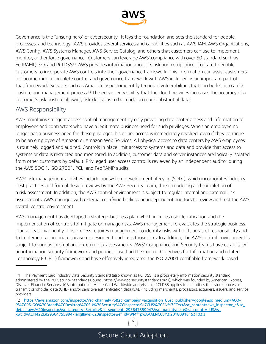

Governance is the "unsung hero" of cybersecurity. It lays the foundation and sets the standard for people, processes, and technology. AWS provides several services and capabilities such as AWS IAM, AWS Organizations, AWS Config, AWS Systems Manager, AWS Service Catalog, and others that customers can use to implement, monitor, and enforce governance. Customers can leverage AWS' compliance with over 50 standard such as FedRAMP, ISO, and PCI DSS<sup>11</sup>. AWS provides information about its risk and compliance program to enable customers to incorporate AWS controls into their governance framework. This information can assist customers in documenting a complete control and governance framework with AWS included as an important part of that framework. Services such as Amazon Inspector identify technical vulnerabilities that can be fed into a risk posture and management process.12 The enhanced visibility that the cloud provides increases the accuracy of a customer's risk posture allowing risk-decisions to be made on more substantial data.

#### AWS Responsibility

AWS maintains stringent access control management by only providing data center access and information to employees and contractors who have a legitimate business need for such privileges. When an employee no longer has a business need for these privileges, his or her access is immediately revoked, even if they continue to be an employee of Amazon or Amazon Web Services. All physical access to data centers by AWS employees is routinely logged and audited. Controls in place limit access to systems and data and provide that access to systems or data is restricted and monitored. In addition, customer data and server instances are logically isolated from other customers by default. Privileged user access control is reviewed by an independent auditor during the AWS SOC 1, ISO 27001, PCI, and FedRAMP audits.

AWS' risk management activities include our system development lifecycle (SDLC), which incorporates industry best practices and formal design reviews by the AWS Security Team, threat modeling and completion of a risk assessment. In addition, the AWS control environment is subject to regular internal and external risk assessments. AWS engages with external certifying bodies and independent auditors to review and test the AWS overall control environment.

AWS management has developed a strategic business plan which includes risk identification and the implementation of controls to mitigate or manage risks. AWS management re-evaluates the strategic business plan at least biannually. This process requires management to identify risks within its areas of responsibility and to implement appropriate measures designed to address those risks. In addition, the AWS control environment is subject to various internal and external risk assessments. AWS' Compliance and Security teams have established an information security framework and policies based on the Control Objectives for Information and related Technology (COBIT) framework and have effectively integrated the ISO 27001 certifiable framework based

<sup>11</sup> The Payment Card Industry Data Security Standard (also known as PCI DSS) is a proprietary information security standard administered by the PCI Security Standards Council https://www.pcisecuritystandards.org/), which was founded by American Express, Discover Financial Services, JCB International, MasterCard Worldwide and Visa Inc. PCI DSS applies to all entities that store, process or transmit cardholder data (CHD) and/or sensitive authentication data (SAD) including merchants, processors, acquirers, issuers, and service providers.

<sup>12</sup> https://aws.amazon.com/inspector/?sc\_channel=PS&sc\_campaign=acquisition\_USsc\_publisher=google&sc\_medium=ACQ-P%7CPS-GO%7CBrand%7CDesktop%7CSU%7CSecurity%7CInspector%7CUS%7CEN%7CText&sc\_content=aws\_inspector\_e&sc detail=aws%20inspector&sc\_category=Security&sc\_segment=293647559947&sc\_matchtype=e&sc\_country=US&s\_ kwcid=AL!4422!3!293647559947!e!!g!!aws%20inspector&ef\_id=WMf1pwAAALNCC8Y3:20180918153103:s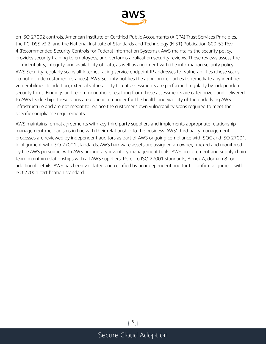

on ISO 27002 controls, American Institute of Certified Public Accountants (AICPA) Trust Services Principles, the PCI DSS v3.2, and the National Institute of Standards and Technology (NIST) Publication 800-53 Rev 4 (Recommended Security Controls for Federal Information Systems). AWS maintains the security policy, provides security training to employees, and performs application security reviews. These reviews assess the confidentiality, integrity, and availability of data, as well as alignment with the information security policy. AWS Security regularly scans all Internet facing service endpoint IP addresses for vulnerabilities (these scans do not include customer instances). AWS Security notifies the appropriate parties to remediate any identified vulnerabilities. In addition, external vulnerability threat assessments are performed regularly by independent security firms. Findings and recommendations resulting from these assessments are categorized and delivered to AWS leadership. These scans are done in a manner for the health and viability of the underlying AWS infrastructure and are not meant to replace the customer's own vulnerability scans required to meet their specific compliance requirements.

AWS maintains formal agreements with key third party suppliers and implements appropriate relationship management mechanisms in line with their relationship to the business. AWS' third party management processes are reviewed by independent auditors as part of AWS ongoing compliance with SOC and ISO 27001. In alignment with ISO 27001 standards, AWS hardware assets are assigned an owner, tracked and monitored by the AWS personnel with AWS proprietary inventory management tools. AWS procurement and supply chain team maintain relationships with all AWS suppliers. Refer to ISO 27001 standards; Annex A, domain 8 for additional details. AWS has been validated and certified by an independent auditor to confirm alignment with ISO 27001 certification standard.

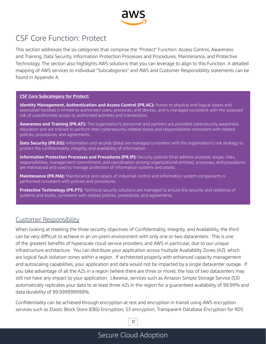

### <span id="page-12-0"></span>CSF Core Function: Protect

This section addresses the six categories that comprise the "Protect" Function: Access Control, Awareness and Training, Data Security, Information Protection Processes and Procedures, Maintenance, and Protective Technology. The section also highlights AWS solutions that you can leverage to align to this Function. A detailed mapping of AWS services to individual "Subcategories" and AWS and Customer Responsibility statements can be found in Appendix A.

#### **CSF Core Subcategory for Protect:**

**Identity Management, Authentication and Access Control (PR.AC):** Access to physical and logical assets and associated facilities is limited to authorized users, processes, and devices, and is managed consistent with the assessed risk of unauthorized access to authorized activities and transactions.

**Awareness and Training (PR.AT):** The organization's personnel and partners are provided cybersecurity awareness education and are trained to perform their cybersecurity-related duties and responsibilities consistent with related policies, procedures, and agreements.

**Data Security (PR.DS):** Information and records (data) are managed consistent with the organization's risk strategy to protect the confidentiality, integrity, and availability of information.

**Information Protection Processes and Procedures (PR.IP):** Security policies (that address purpose, scope, roles, responsibilities, management commitment, and coordination among organizational entities), processes, and procedures are maintained and used to manage protection of information systems and assets.

**Maintenance (PR.MA):** Maintenance and repairs of industrial control and information system components is performed consistent with policies and procedures.

**Protective Technology (PR.PT):** Technical security solutions are managed to ensure the security and resilience of systems and assets, consistent with related policies, procedures, and agreements.

#### Customer Responsibility

When looking at meeting the three security objectives of Confidentiality, Integrity, and Availability, the third can be very difficult to achieve in an on-prem environment with only one or two datacenters. This is one of the greatest benefits of hyperscale cloud service providers, and AWS in particular, due to our unique infrastructure architecture. You can distribute your application across multiple Availability Zones (AZ), which are logical fault isolation zones within a region. If architected properly with enhanced capacity management and autoscaling capabilities, your application and data would not be impacted by a single datacenter outage. If you take advantage of all the AZs in a region (where there are three or more), the loss of two datacenters may still not have any impact to your application. Likewise, services such as Amazon Simple Storage Service (S3) automatically replicates your data to at least three AZs in the region for a guaranteed availability of 99.99% and data durability of 99.999999999%.

Confidentiality can be achieved through encryption at rest and encryption in transit using AWS encryption services such as Elastic Block Store (EBS) Encryption, S3 encryption, Transparent Database Encryption for RDS

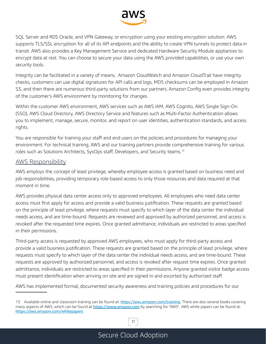

SQL Server and RDS Oracle, and VPN Gateway, or encryption using your existing encryption solution. AWS supports TLS/SSL encryption for all of its API endpoints and the ability to create VPN tunnels to protect data in transit. AWS also provides a Key Management Service and dedicated Hardware Security Module appliances to encrypt data at rest. You can choose to secure your data using the AWS provided capabilities, or use your own security tools.

Integrity can be facilitated in a variety of means. Amazon CloudWatch and Amazon CloudTrail have integrity checks, customers can use digital signatures for API calls and logs, MD5 checksums can be employed in Amazon S3, and then there are numerous third-party solutions from our partners. Amazon Config even provides integrity of the customer's AWS environment by monitoring for changes.

Within the customer AWS environment, AWS services such as AWS IAM, AWS Cognito, AWS Single Sign-On (SSO), AWS Cloud Directory, AWS Directory Service and features such as Multi-Factor Authentication allows you to implement, manage, secure, monitor, and report on user identities, authentication standards, and access rights.

You are responsible for training your staff and end users on the policies and procedures for managing your environment. For technical training, AWS and our training partners provide comprehensive training for various roles such as Solutions Architects, SysOps staff, Developers, and Security teams.<sup>13</sup>

#### AWS Responsibility

AWS employs the concept of least privilege, whereby employee access is granted based on business need and job responsibilities, providing temporary role-based access to only those resources and data required at that moment in time.

AWS provides physical data center access only to approved employees. All employees who need data center access must first apply for access and provide a valid business justification. These requests are granted based on the principle of least privilege, where requests must specify to which layer of the data center the individual needs access, and are time-bound. Requests are reviewed and approved by authorized personnel, and access is revoked after the requested time expires. Once granted admittance, individuals are restricted to areas specified in their permissions.

Third-party access is requested by approved AWS employees, who must apply for third-party access and provide a valid business justification. These requests are granted based on the principle of least privilege, where requests must specify to which layer of the data center the individual needs access, and are time-bound. These requests are approved by authorized personnel, and access is revoked after request time expires. Once granted admittance, individuals are restricted to areas specified in their permissions. Anyone granted visitor badge access must present identification when arriving on site and are signed in and escorted by authorized staff.

AWS has implemented formal, documented security awareness and training policies and procedures for our

<sup>13</sup> Available online and classroom training can be found at: https://aws.amazon.com/training. There are also several books covering many aspects of AWS, which can be found at https://www.amazon.com by searching for "AWS". AWS white papers can be found at: https://aws.amazon.com/whitepapers

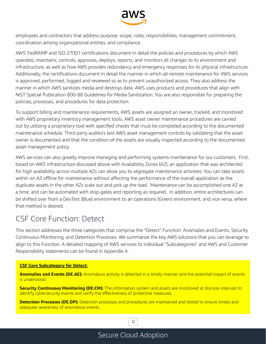

<span id="page-14-0"></span>employees and contractors that address purpose, scope, roles, responsibilities, management commitment, coordination among organizational entities, and compliance.

AWS' FedRAMP and ISO 27001 certifications document in detail the policies and procedures by which AWS operates, maintains, controls, approves, deploys, reports, and monitors all changes to its environment and infrastructure, as well as how AWS provides redundancy and emergency responses for its physical infrastructure. Additionally, the certifications document in detail the manner in which all remote maintenance for AWS services is approved, performed, logged and reviewed so as to prevent unauthorized access. They also address the manner in which AWS sanitizes media and destroys data. AWS uses products and procedures that align with NIST Special Publication 800-88 Guidelines for Media Sanitization. You are also responsible for preparing the policies, processes, and procedures for data protection.

To support billing and maintenance requirements, AWS assets are assigned an owner, tracked, and monitored with AWS proprietary inventory management tools. AWS asset owner maintenance procedures are carried out by utilizing a proprietary tool with specified checks that must be completed according to the documented maintenance schedule. Third party auditors test AWS asset management controls by validating that the asset owner is documented and that the condition of the assets are visually inspected according to the documented asset management policy.

AWS services can also greatly improve managing and performing systems maintenance for our customers. First, based on AWS infrastructure discussed above with Availability Zones (AZ), an application that was architected for high availability across multiple AZs can allow you to segregate maintenance activities. You can take assets within on AZ offline for maintenance without affecting the performance of the overall application as the duplicate assets in the other AZs scale out and pick up the load. Maintenance can be accomplished one AZ at a time, and can be automated with stop-gates and reporting as required. In addition, entire architectures can be shifted over from a DevTest (Blue) environment to an operations (Green) environment, and vice versa, where that method is desired.

### CSF Core Function: Detect

This section addresses the three categories that comprise the "Detect" Function: Anomalies and Events, Security Continuous Monitoring, and Detection Processes. We summarize the key AWS solutions that you can leverage to align to this Function. A detailed mapping of AWS services to individual "Subcategories" and AWS and Customer Responsibility statements can be found in Appendix A.

#### **CSF Core Subcategory for Detect:**

**Anomalies and Events (DE.AE):** Anomalous activity is detected in a timely manner and the potential impact of events is understood.

**Security Continuous Monitoring (DE.CM):** The information system and assets are monitored at discrete intervals to identify cybersecurity events and verify the effectiveness of protective measures.

**Detection Processes (DE.DP):** Detection processes and procedures are maintained and tested to ensure timely and adequate awareness of anomalous events.

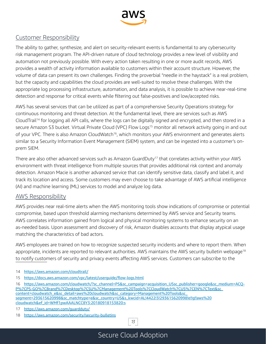

#### Customer Responsibility

The ability to gather, synthesize, and alert on security-relevant events is fundamental to any cybersecurity risk management program. The API-driven nature of cloud technology provides a new level of visibility and automation not previously possible. With every action taken resulting in one or more audit records, AWS provides a wealth of activity information available to customers within their account structure. However, the volume of data can present its own challenges. Finding the proverbial "needle in the haystack" is a real problem, but the capacity and capabilities the cloud provides are well-suited to resolve these challenges. With the appropriate log processing infrastructure, automation, and data analysis, it is possible to achieve near-real-time detection and response for critical events while filtering out false-positives and low/accepted risks.

AWS has several services that can be utilized as part of a comprehensive Security Operations strategy for continuous monitoring and threat detection. At the fundamental level, there are services such as AWS CloudTrail<sup>14</sup> for logging all API calls, where the logs can be digitally signed and encrypted, and then stored in a secure Amazon S3 bucket. Virtual Private Cloud (VPC) Flow Logs<sup>15</sup> monitor all network activity going in and out of your VPC. There is also Amazon CloudWatch<sup>16</sup>, which monitors your AWS environment and generates alerts similar to a Security Information Event Management (SIEM) system, and can be ingested into a customer's onprem SIEM.

There are also other advanced services such as Amazon GuardDuty<sup>17</sup> that correlates activity within your AWS environment with threat intelligence from multiple sources that provides additional risk context and anomaly detection. Amazon Macie is another advanced service that can identify sensitive data, classify and label it, and track its location and access. Some customers may even choose to take advantage of AWS artificial intelligence (AI) and machine learning (ML) services to model and analyze log data.

#### AWS Responsibility

AWS provides near real-time alerts when the AWS monitoring tools show indications of compromise or potential compromise, based upon threshold alarming mechanisms determined by AWS service and Security teams. AWS correlates information gained from logical and physical monitoring systems to enhance security on an as-needed basis. Upon assessment and discovery of risk, Amazon disables accounts that display atypical usage matching the characteristics of bad actors.

AWS employees are trained on how to recognize suspected security incidents and where to report them. When appropriate, incidents are reported to relevant authorities. AWS maintains the AWS security bulletin webpage<sup>18</sup> to notify customers of security and privacy events affecting AWS services. Customers can subscribe to the

- 14 https://aws.amazon.com/cloudtrail/
- 15 https://docs.aws.amazon.com/vpc/latest/userguide/flow-logs.html
- 16 https://aws.amazon.com/cloudwatch/?sc\_channel=PS&sc\_campaign=acquisition\_USsc\_publisher=google&sc\_medium=ACQ-P%7CPS-GO%7CBrand%7CDesktop%7CSU%7CManagement%20Tools%7CCloudWatch%7CUS%7CEN%7CText&sc\_ content=cloudwatch\_e&sc\_detail=aws%20cloudwatch&sc\_category=Management%20Tools&sc\_ segment=293615620998&sc\_matchtype=e&sc\_country=US&s\_kwcid=AL!4422!3!293615620998!e!!g!!aws%20 cloudwatch&ef\_id=WMf1pwAAALNCC8Y3:20180918153820:s
- 17 https://aws.amazon.com/quardduty/
- 18 https://aws.amazon.com/security/security-bulletins

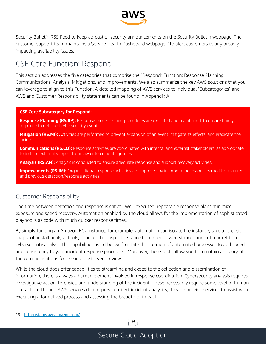

<span id="page-16-0"></span>Security Bulletin RSS Feed to keep abreast of security announcements on the Security Bulletin webpage. The customer support team maintains a Service Health Dashboard webpage<sup>19</sup> to alert customers to any broadly impacting availability issues.

### CSF Core Function: Respond

This section addresses the five categories that comprise the "Respond" Function: Response Planning, Communications, Analysis, Mitigations, and Improvements. We also summarize the key AWS solutions that you can leverage to align to this Function. A detailed mapping of AWS services to individual "Subcategories" and AWS and Customer Responsibility statements can be found in Appendix A.

#### **CSF Core Subcategory for Respond:**

**Response Planning (RS.RP):** Response processes and procedures are executed and maintained, to ensure timely response to detected cybersecurity events.

Mitigation (RS.MI): Activities are performed to prevent expansion of an event, mitigate its effects, and eradicate the incident.

**Communications (RS.CO):** Response activities are coordinated with internal and external stakeholders, as appropriate, to include external support from law enforcement agencies.

**Analysis (RS.AN):** Analysis is conducted to ensure adequate response and support recovery activities.

**Improvements (RS.IM):** Organizational response activities are improved by incorporating lessons learned from current and previous detection/response activities.

#### Customer Responsibility

The time between detection and response is critical. Well-executed, repeatable response plans minimize exposure and speed recovery. Automation enabled by the cloud allows for the implementation of sophisticated playbooks as code with much quicker response times.

By simply tagging an Amazon EC2 instance, for example, automation can isolate the instance, take a forensic snapshot, install analysis tools, connect the suspect instance to a forensic workstation, and cut a ticket to a cybersecurity analyst. The capabilities listed below facilitate the creation of automated processes to add speed and consistency to your incident response processes. Moreover, these tools allow you to maintain a history of the communications for use in a post-event review.

While the cloud does offer capabilities to streamline and expedite the collection and dissemination of information, there is always a human element involved in response coordination. Cybersecurity analysis requires investigative action, forensics, and understanding of the incident. These necessarily require some level of human interaction. Though AWS services do not provide direct incident analytics, they do provide services to assist with executing a formalized process and assessing the breadth of impact.

*14*

<sup>19</sup> http://status.aws.amazon.com/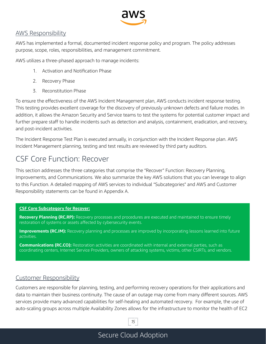

#### <span id="page-17-0"></span>AWS Responsibility

AWS has implemented a formal, documented incident response policy and program. The policy addresses purpose, scope, roles, responsibilities, and management commitment.

AWS utilizes a three-phased approach to manage incidents:

- 1. Activation and Notification Phase
- 2. Recovery Phase
- 3. Reconstitution Phase

To ensure the effectiveness of the AWS Incident Management plan, AWS conducts incident response testing. This testing provides excellent coverage for the discovery of previously unknown defects and failure modes. In addition, it allows the Amazon Security and Service teams to test the systems for potential customer impact and further prepare staff to handle incidents such as detection and analysis, containment, eradication, and recovery, and post-incident activities.

The Incident Response Test Plan is executed annually, in conjunction with the Incident Response plan. AWS Incident Management planning, testing and test results are reviewed by third party auditors.

### CSF Core Function: Recover

This section addresses the three categories that comprise the "Recover" Function: Recovery Planning, Improvements, and Communications. We also summarize the key AWS solutions that you can leverage to align to this Function. A detailed mapping of AWS services to individual "Subcategories" and AWS and Customer Responsibility statements can be found in Appendix A.

#### **CSF Core Subcategory for Recover:**

**Recovery Planning (RC.RP):** Recovery processes and procedures are executed and maintained to ensure timely restoration of systems or assets affected by cybersecurity events.

**Improvements (RC.IM):** Recovery planning and processes are improved by incorporating lessons learned into future activities.

**Communications (RC.CO):** Restoration activities are coordinated with internal and external parties, such as coordinating centers, Internet Service Providers, owners of attacking systems, victims, other CSIRTs, and vendors.

#### Customer Responsibility

Customers are responsible for planning, testing, and performing recovery operations for their applications and data to maintain their business continuity. The cause of an outage may come from many different sources. AWS services provide many advanced capabilities for self-healing and automated recovery. For example, the use of auto-scaling groups across multiple Availability Zones allows for the infrastructure to monitor the health of EC2

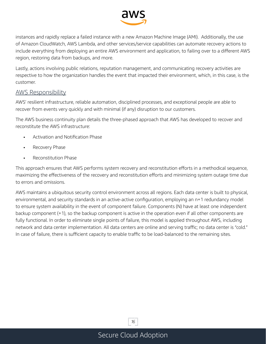

instances and rapidly replace a failed instance with a new Amazon Machine Image (AMI). Additionally, the use of Amazon CloudWatch, AWS Lambda, and other services/service capabilities can automate recovery actions to include everything from deploying an entire AWS environment and application, to failing over to a different AWS region, restoring data from backups, and more.

Lastly, actions involving public relations, reputation management, and communicating recovery activities are respective to how the organization handles the event that impacted their environment, which, in this case, is the customer.

#### AWS Responsibility

AWS' resilient infrastructure, reliable automation, disciplined processes, and exceptional people are able to recover from events very quickly and with minimal (if any) disruption to our customers.

The AWS business continuity plan details the three-phased approach that AWS has developed to recover and reconstitute the AWS infrastructure:

- Activation and Notification Phase
- Recovery Phase
- Reconstitution Phase

This approach ensures that AWS performs system recovery and reconstitution efforts in a methodical sequence, maximizing the effectiveness of the recovery and reconstitution efforts and minimizing system outage time due to errors and omissions.

AWS maintains a ubiquitous security control environment across all regions. Each data center is built to physical, environmental, and security standards in an active-active configuration, employing an n+1 redundancy model to ensure system availability in the event of component failure. Components (N) have at least one independent backup component (+1), so the backup component is active in the operation even if all other components are fully functional. In order to eliminate single points of failure, this model is applied throughout AWS, including network and data center implementation. All data centers are online and serving traffic; no data center is "cold." In case of failure, there is sufficient capacity to enable traffic to be load-balanced to the remaining sites.

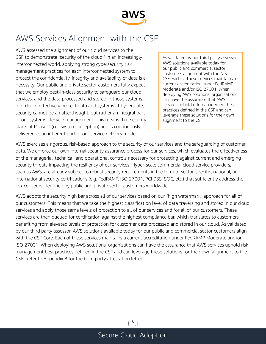

# <span id="page-19-0"></span>AWS Services Alignment with the CSF

AWS assessed the alignment of our cloud services to the CSF to demonstrate "security of the cloud." In an increasingly interconnected world, applying strong cybersecurity risk management practices for each interconnected system to protect the confidentiality, integrity and availability of data is a necessity. Our public and private sector customers fully expect that we employ best-in-class security to safeguard our cloud services, and the data processed and stored in those systems. In order to effectively protect data and systems at hyperscale, security cannot be an afterthought, but rather an integral part of our systems lifecycle management. This means that security starts at Phase 0 (i.e., systems inception) and is continuously delivered as an inherent part of our service delivery model.

As validated by our third party assessor, AWS solutions available today for our public and commercial sector customers alignment with the NIST CSF. Each of these services maintains a current accreditation under FedRAMP Moderate and/or ISO 27001. When deploying AWS solutions, organizations can have the assurance that AWS services uphold risk management best practices defined in the CSF and can leverage these solutions for their own alignment to the CSF.

AWS exercises a rigorous, risk-based approach to the security of our services and the safeguarding of customer data. We enforce our own internal security assurance process for our services, which evaluates the effectiveness of the managerial, technical, and operational controls necessary for protecting against current and emerging security threats impacting the resiliency of our services. Hyper-scale commercial cloud service providers, such as AWS, are already subject to robust security requirements in the form of sector-specific, national, and international security certifications (e.g. FedRAMP, ISO 27001, PCI DSS, SOC, etc.) that sufficiently address the risk concerns identified by public and private sector customers worldwide.

AWS adopts the security high bar across all of our services based on our "high watermark" approach for all of our customers. This means that we take the highest classification level of data traversing and stored in our cloud services and apply those same levels of protection to all of our services and for all of our customers. These services are then queued for certification against the highest compliance bar, which translates to customers benefiting from elevated levels of protection for customer data processed and stored in our cloud. As validated by our third party assessor, AWS solutions available today for our public and commercial sector customers align with the CSF Core. Each of these services maintains a current accreditation under FedRAMP Moderate and/or ISO 27001. When deploying AWS solutions, organizations can have the assurance that AWS services uphold risk management best practices defined in the CSF and can leverage these solutions for their own alignment to the CSF. Refer to Appendix B for the third party attestation letter.

*17*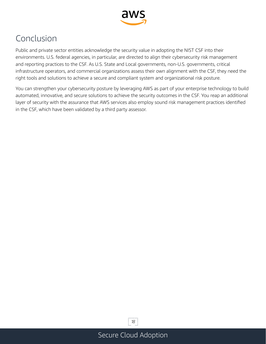

# <span id="page-20-0"></span>Conclusion

Public and private sector entities acknowledge the security value in adopting the NIST CSF into their environments. U.S. federal agencies, in particular, are directed to align their cybersecurity risk management and reporting practices to the CSF. As U.S. State and Local governments, non-U.S. governments, critical infrastructure operators, and commercial organizations assess their own alignment with the CSF, they need the right tools and solutions to achieve a secure and compliant system and organizational risk posture.

You can strengthen your cybersecurity posture by leveraging AWS as part of your enterprise technology to build automated, innovative, and secure solutions to achieve the security outcomes in the CSF. You reap an additional layer of security with the assurance that AWS services also employ sound risk management practices identified in the CSF, which have been validated by a third party assessor.

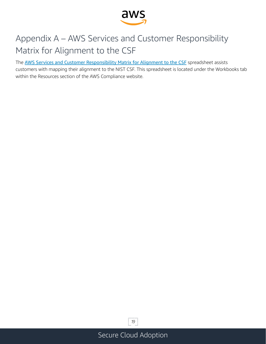

# <span id="page-21-0"></span>Appendix A – AWS Services and Customer Responsibility Matrix for Alignment to the CSF

The AWS Services and Customer Responsibility Matrix for Alignment to the CSF spreadsheet assists customers with mapping their alignment to the NIST CSF. This spreadsheet is located under the Workbooks tab within the Resources section of the AWS Compliance website.